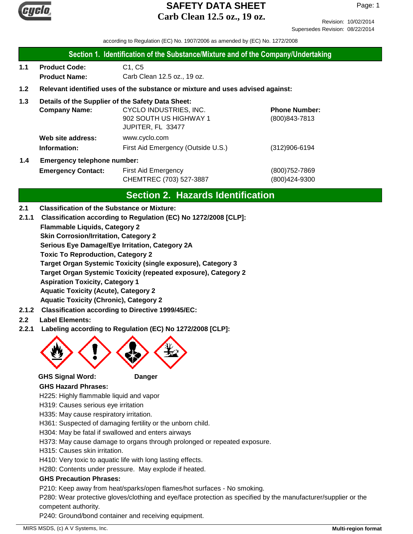

Revision: 10/02/2014 Supersedes Revision: 08/22/2014

according to Regulation (EC) No. 1907/2006 as amended by (EC) No. 1272/2008

|  |  |  | Section 1. Identification of the Substance/Mixture and of the Company/Undertaking |  |  |
|--|--|--|-----------------------------------------------------------------------------------|--|--|
|--|--|--|-----------------------------------------------------------------------------------|--|--|

- **1.1 Product Code:** C1, C5 **Product Name:** Carb Clean 12.5 oz., 19 oz.
- **1.2 Relevant identified uses of the substance or mixture and uses advised against:**
- **1.3 Details of the Supplier of the Safety Data Sheet:**

| <b>Company Name:</b>                                                                                             | CYCLO INDUSTRIES, INC.             | <b>Phone Number:</b> |
|------------------------------------------------------------------------------------------------------------------|------------------------------------|----------------------|
|                                                                                                                  | 902 SOUTH US HIGHWAY 1             | (800) 843-7813       |
|                                                                                                                  | JUPITER, FL 33477                  |                      |
| Web site address:                                                                                                | www.cyclo.com                      |                      |
| Information:                                                                                                     | First Aid Emergency (Outside U.S.) | $(312)906 - 6194$    |
| de la componencia de la constitución de la constitución de la constitución de la constitución de la constitución |                                    |                      |

# **1.4 Emergency telephone number:**

**Emergency Contact:** First Aid Emergency **Emergency** (800)752-7869 CHEMTREC (703) 527-3887 (800)424-9300

# **Section 2. Hazards Identification**

- **2.1 Classification of the Substance or Mixture:**
- **2.1.1 Classification according to Regulation (EC) No 1272/2008 [CLP]:**
	- **Flammable Liquids, Category 2**

**Skin Corrosion/Irritation, Category 2**

**Serious Eye Damage/Eye Irritation, Category 2A**

**Toxic To Reproduction, Category 2**

**Target Organ Systemic Toxicity (single exposure), Category 3**

**Target Organ Systemic Toxicity (repeated exposure), Category 2**

**Aspiration Toxicity, Category 1**

**Aquatic Toxicity (Acute), Category 2**

**Aquatic Toxicity (Chronic), Category 2**

- **2.1.2 Classification according to Directive 1999/45/EC:**
- **2.2 Label Elements:**
- **2.2.1 Labeling according to Regulation (EC) No 1272/2008 [CLP]:**



**GHS Signal Word: Danger**

#### **GHS Hazard Phrases:**

H225: Highly flammable liquid and vapor

- H319: Causes serious eye irritation
- H335: May cause respiratory irritation.

H361: Suspected of damaging fertility or the unborn child.

- H304: May be fatal if swallowed and enters airways
- H373: May cause damage to organs through prolonged or repeated exposure.
- H315: Causes skin irritation.
- H410: Very toxic to aquatic life with long lasting effects.

H280: Contents under pressure. May explode if heated.

#### **GHS Precaution Phrases:**

P210: Keep away from heat/sparks/open flames/hot surfaces - No smoking.

P280: Wear protective gloves/clothing and eye/face protection as specified by the manufacturer/supplier or the competent authority.

P240: Ground/bond container and receiving equipment.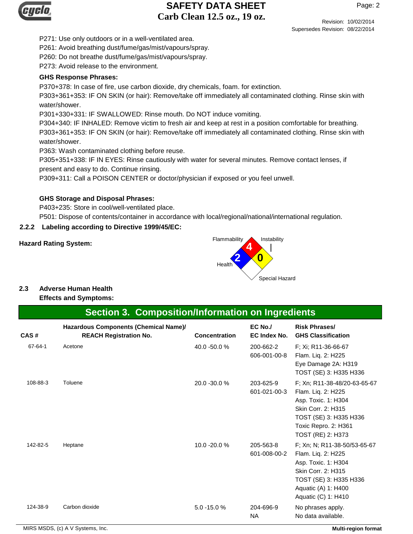

P271: Use only outdoors or in a well-ventilated area.

P261: Avoid breathing dust/fume/gas/mist/vapours/spray.

P260: Do not breathe dust/fume/gas/mist/vapours/spray.

P273: Avoid release to the environment.

#### **GHS Response Phrases:**

P370+378: In case of fire, use carbon dioxide, dry chemicals, foam. for extinction.

P303+361+353: IF ON SKIN (or hair): Remove/take off immediately all contaminated clothing. Rinse skin with water/shower.

P301+330+331: IF SWALLOWED: Rinse mouth. Do NOT induce vomiting.

P304+340: IF INHALED: Remove victim to fresh air and keep at rest in a position comfortable for breathing.

P303+361+353: IF ON SKIN (or hair): Remove/take off immediately all contaminated clothing. Rinse skin with water/shower.

P363: Wash contaminated clothing before reuse.

P305+351+338: IF IN EYES: Rinse cautiously with water for several minutes. Remove contact lenses, if present and easy to do. Continue rinsing.

P309+311: Call a POISON CENTER or doctor/physician if exposed or you feel unwell.

### **GHS Storage and Disposal Phrases:**

P403+235: Store in cool/well-ventilated place.

P501: Dispose of contents/container in accordance with local/regional/national/international regulation.

### **2.2.2 Labeling according to Directive 1999/45/EC:**



# **2.3 Adverse Human Health**

**Effects and Symptoms:**

# **Section 3. Composition/Information on Ingredients**

| CAS#          | Hazardous Components (Chemical Name)/<br><b>REACH Registration No.</b> | <b>Concentration</b> | EC No./<br>EC Index No.   | <b>Risk Phrases/</b><br><b>GHS Classification</b>                                                                                                                       |
|---------------|------------------------------------------------------------------------|----------------------|---------------------------|-------------------------------------------------------------------------------------------------------------------------------------------------------------------------|
| $67 - 64 - 1$ | Acetone                                                                | 40.0 -50.0 %         | 200-662-2<br>606-001-00-8 | F; Xi; R11-36-66-67<br>Flam. Liq. 2: H225<br>Eye Damage 2A: H319<br>TOST (SE) 3: H335 H336                                                                              |
| 108-88-3      | Toluene                                                                | 20.0 - 30.0 %        | 203-625-9<br>601-021-00-3 | F; Xn; R11-38-48/20-63-65-67<br>Flam. Liq. 2: H225<br>Asp. Toxic. 1: H304<br>Skin Corr. 2: H315<br>TOST (SE) 3: H335 H336<br>Toxic Repro. 2: H361<br>TOST (RE) 2: H373  |
| 142-82-5      | Heptane                                                                | 10.0 -20.0 %         | 205-563-8<br>601-008-00-2 | F; Xn; N; R11-38-50/53-65-67<br>Flam. Liq. 2: H225<br>Asp. Toxic. 1: H304<br>Skin Corr. 2: H315<br>TOST (SE) 3: H335 H336<br>Aquatic (A) 1: H400<br>Aquatic (C) 1: H410 |
| 124-38-9      | Carbon dioxide                                                         | 5.0 -15.0 %          | 204-696-9<br><b>NA</b>    | No phrases apply.<br>No data available.                                                                                                                                 |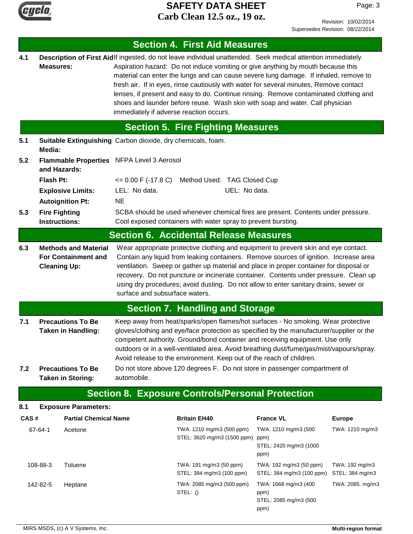

Page: 3

|      |                                                                                  |                                                       |                                                                                                                                                                                                                                                                                                                                                                                                                                                                                          | <b>Section 4. First Aid Measures</b>                                                                                                                                                                                                                                                                                                                                                                                                                                                                                                                         |                                                               |                                   |  |
|------|----------------------------------------------------------------------------------|-------------------------------------------------------|------------------------------------------------------------------------------------------------------------------------------------------------------------------------------------------------------------------------------------------------------------------------------------------------------------------------------------------------------------------------------------------------------------------------------------------------------------------------------------------|--------------------------------------------------------------------------------------------------------------------------------------------------------------------------------------------------------------------------------------------------------------------------------------------------------------------------------------------------------------------------------------------------------------------------------------------------------------------------------------------------------------------------------------------------------------|---------------------------------------------------------------|-----------------------------------|--|
| 4.1  | <b>Measures:</b>                                                                 |                                                       | immediately if adverse reaction occurs.                                                                                                                                                                                                                                                                                                                                                                                                                                                  | Description of First Aidlf ingested, do not leave individual unattended. Seek medical attention immediately.<br>Aspiration hazard: Do not induce vomiting or give anything by mouth because this<br>material can enter the lungs and can cause severe lung damage. If inhaled, remove to<br>fresh air. If in eyes, rinse cautiously with water for several minutes, Remove contact<br>lenses, if present and easy to do. Continue rinsing. Remove contaminated clothing and<br>shoes and launder before reuse. Wash skin with soap and water. Call physician |                                                               |                                   |  |
|      |                                                                                  |                                                       |                                                                                                                                                                                                                                                                                                                                                                                                                                                                                          | <b>Section 5. Fire Fighting Measures</b>                                                                                                                                                                                                                                                                                                                                                                                                                                                                                                                     |                                                               |                                   |  |
| 5.1  | Media:                                                                           |                                                       |                                                                                                                                                                                                                                                                                                                                                                                                                                                                                          | Suitable Extinguishing Carbon dioxide, dry chemicals, foam.                                                                                                                                                                                                                                                                                                                                                                                                                                                                                                  |                                                               |                                   |  |
| 5.2  |                                                                                  | and Hazards:                                          | Flammable Properties NFPA Level 3 Aerosol                                                                                                                                                                                                                                                                                                                                                                                                                                                |                                                                                                                                                                                                                                                                                                                                                                                                                                                                                                                                                              |                                                               |                                   |  |
|      | <b>Flash Pt:</b>                                                                 |                                                       | $\leq$ 0.00 F (-17.8 C)                                                                                                                                                                                                                                                                                                                                                                                                                                                                  | Method Used: TAG Closed Cup                                                                                                                                                                                                                                                                                                                                                                                                                                                                                                                                  |                                                               |                                   |  |
|      |                                                                                  | <b>Explosive Limits:</b>                              | LEL: No data.                                                                                                                                                                                                                                                                                                                                                                                                                                                                            | UEL: No data.                                                                                                                                                                                                                                                                                                                                                                                                                                                                                                                                                |                                                               |                                   |  |
|      |                                                                                  | <b>Autoignition Pt:</b>                               | <b>NE</b>                                                                                                                                                                                                                                                                                                                                                                                                                                                                                |                                                                                                                                                                                                                                                                                                                                                                                                                                                                                                                                                              |                                                               |                                   |  |
| 5.3  | <b>Fire Fighting</b><br><b>Instructions:</b>                                     |                                                       |                                                                                                                                                                                                                                                                                                                                                                                                                                                                                          | SCBA should be used whenever chemical fires are present. Contents under pressure.<br>Cool exposed containers with water spray to prevent bursting.                                                                                                                                                                                                                                                                                                                                                                                                           |                                                               |                                   |  |
|      |                                                                                  |                                                       |                                                                                                                                                                                                                                                                                                                                                                                                                                                                                          | <b>Section 6. Accidental Release Measures</b>                                                                                                                                                                                                                                                                                                                                                                                                                                                                                                                |                                                               |                                   |  |
| 6.3  | <b>Methods and Material</b><br><b>For Containment and</b><br><b>Cleaning Up:</b> |                                                       | Wear appropriate protective clothing and equipment to prevent skin and eye contact.<br>Contain any liquid from leaking containers. Remove sources of ignition. Increase area<br>ventilation. Sweep or gather up material and place in proper container for disposal or<br>recovery. Do not puncture or incinerate container. Contents under pressure. Clean up<br>using dry procedures; avoid dusting. Do not allow to enter sanitary drains, sewer or<br>surface and subsurface waters. |                                                                                                                                                                                                                                                                                                                                                                                                                                                                                                                                                              |                                                               |                                   |  |
|      |                                                                                  |                                                       |                                                                                                                                                                                                                                                                                                                                                                                                                                                                                          | <b>Section 7. Handling and Storage</b>                                                                                                                                                                                                                                                                                                                                                                                                                                                                                                                       |                                                               |                                   |  |
| 7.1  |                                                                                  | <b>Precautions To Be</b><br><b>Taken in Handling:</b> |                                                                                                                                                                                                                                                                                                                                                                                                                                                                                          | Keep away from heat/sparks/open flames/hot surfaces - No smoking. Wear protective<br>gloves/clothing and eye/face protection as specified by the manufacturer/supplier or the<br>competent authority. Ground/bond container and receiving equipment. Use only<br>outdoors or in a well-ventilated area. Avoid breathing dust/fume/gas/mist/vapours/spray.<br>Avoid release to the environment. Keep out of the reach of children.                                                                                                                            |                                                               |                                   |  |
| 7.2  |                                                                                  | <b>Precautions To Be</b><br><b>Taken in Storing:</b>  | automobile.                                                                                                                                                                                                                                                                                                                                                                                                                                                                              | Do not store above 120 degrees F. Do not store in passenger compartment of                                                                                                                                                                                                                                                                                                                                                                                                                                                                                   |                                                               |                                   |  |
|      |                                                                                  |                                                       |                                                                                                                                                                                                                                                                                                                                                                                                                                                                                          | <b>Section 8. Exposure Controls/Personal Protection</b>                                                                                                                                                                                                                                                                                                                                                                                                                                                                                                      |                                                               |                                   |  |
| 8.1  |                                                                                  | <b>Exposure Parameters:</b>                           |                                                                                                                                                                                                                                                                                                                                                                                                                                                                                          |                                                                                                                                                                                                                                                                                                                                                                                                                                                                                                                                                              |                                                               |                                   |  |
| CAS# |                                                                                  | <b>Partial Chemical Name</b>                          |                                                                                                                                                                                                                                                                                                                                                                                                                                                                                          | <b>Britain EH40</b>                                                                                                                                                                                                                                                                                                                                                                                                                                                                                                                                          | <b>France VL</b>                                              | <b>Europe</b>                     |  |
|      | 67-64-1                                                                          | Acetone                                               |                                                                                                                                                                                                                                                                                                                                                                                                                                                                                          | TWA: 1210 mg/m3 (500 ppm)<br>STEL: 3620 mg/m3 (1500 ppm) ppm)                                                                                                                                                                                                                                                                                                                                                                                                                                                                                                | TWA: 1210 mg/m3 (500<br>STEL: 2420 mg/m3 (1000<br>ppm)        | TWA: 1210 mg/m3                   |  |
|      | 108-88-3                                                                         | Toluene                                               |                                                                                                                                                                                                                                                                                                                                                                                                                                                                                          | TWA: 191 mg/m3 (50 ppm)<br>STEL: 384 mg/m3 (100 ppm)                                                                                                                                                                                                                                                                                                                                                                                                                                                                                                         | TWA: 192 mg/m3 (50 ppm)<br>STEL: 384 mg/m3 (100 ppm)          | TWA: 192 mg/m3<br>STEL: 384 mg/m3 |  |
|      | 142-82-5                                                                         | Heptane                                               |                                                                                                                                                                                                                                                                                                                                                                                                                                                                                          | TWA: 2085 mg/m3 (500 ppm)<br>STEL: ()                                                                                                                                                                                                                                                                                                                                                                                                                                                                                                                        | TWA: 1668 mg/m3 (400<br>ppm)<br>STEL: 2085 mg/m3 (500<br>ppm) | TWA: 2085. mg/m3                  |  |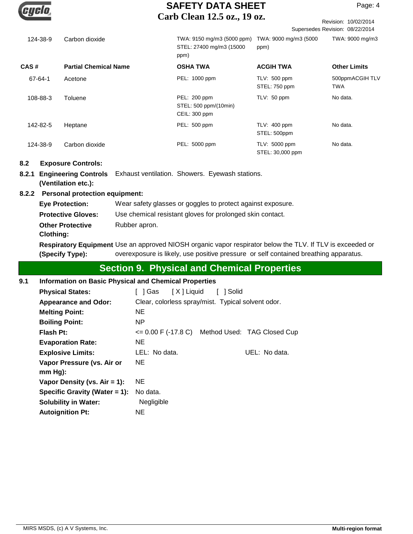|          |                              | Carp Citan $12.5$ $02.1$                                       |                                   | Revision: 10/02/2014            |
|----------|------------------------------|----------------------------------------------------------------|-----------------------------------|---------------------------------|
|          |                              |                                                                |                                   | Supersedes Revision: 08/22/2014 |
| 124-38-9 | Carbon dioxide               | TWA: 9150 mg/m3 (5000 ppm)<br>STEL: 27400 mg/m3 (15000<br>ppm) | TWA: 9000 mg/m3 (5000<br>ppm)     | TWA: 9000 mg/m3                 |
| CAS#     | <b>Partial Chemical Name</b> | <b>OSHA TWA</b>                                                | <b>ACGIH TWA</b>                  | <b>Other Limits</b>             |
| 67-64-1  | Acetone                      | PEL: 1000 ppm                                                  | TLV: 500 ppm<br>STEL: 750 ppm     | 500ppmACGIH TLV<br><b>TWA</b>   |
| 108-88-3 | Toluene                      | PEL: 200 ppm<br>STEL: 500 ppm/(10min)<br>CEIL: 300 ppm         | TLV: 50 ppm                       | No data.                        |
| 142-82-5 | Heptane                      | PEL: 500 ppm                                                   | TLV: 400 ppm<br>STEL: 500ppm      | No data.                        |
| 124-38-9 | Carbon dioxide               | PEL: 5000 ppm                                                  | TLV: 5000 ppm<br>STEL: 30,000 ppm | No data.                        |

#### **8.2 Exposure Controls:**

**8.2.1 Engineering Controls** Exhaust ventilation. Showers. Eyewash stations. **(Ventilation etc.):**

#### **8.2.2 Personal protection equipment:**

Respiratory Equipment Use an approved NIOSH organic vapor respirator below the TLV. If TLV is exceeded or **Eye Protection:** Wear safety glasses or goggles to protect against exposure. **Protective Gloves:** Use chemical resistant gloves for prolonged skin contact. **Other Protective** Rubber apron. **Clothing:**

overexposure is likely, use positive pressure or self contained breathing apparatus. **(Specify Type):**

# **Section 9. Physical and Chemical Properties**

| 9.1 | <b>Information on Basic Physical and Chemical Properties</b>               |                                                     |  |               |  |  |
|-----|----------------------------------------------------------------------------|-----------------------------------------------------|--|---------------|--|--|
|     | [X ] Liquid<br><b>Physical States:</b><br>1 Solid<br>l Gas<br>$\mathbf{L}$ |                                                     |  |               |  |  |
|     | <b>Appearance and Odor:</b>                                                | Clear, colorless spray/mist. Typical solvent odor.  |  |               |  |  |
|     | <b>Melting Point:</b>                                                      | <b>NE</b>                                           |  |               |  |  |
|     | <b>Boiling Point:</b>                                                      | NP.                                                 |  |               |  |  |
|     | <b>Flash Pt:</b>                                                           | $\leq$ 0.00 F (-17.8 C) Method Used: TAG Closed Cup |  |               |  |  |
|     | <b>Evaporation Rate:</b>                                                   | NE.                                                 |  |               |  |  |
|     | <b>Explosive Limits:</b>                                                   | LEL: No data.                                       |  | UEL: No data. |  |  |
|     | Vapor Pressure (vs. Air or<br>$mm Hg$ :                                    | NE.                                                 |  |               |  |  |
|     | Vapor Density (vs. $Air = 1$ ):                                            | NE.                                                 |  |               |  |  |
|     | Specific Gravity (Water $= 1$ ):                                           | No data.                                            |  |               |  |  |
|     | <b>Solubility in Water:</b>                                                | Negligible                                          |  |               |  |  |
|     | <b>Autoignition Pt:</b>                                                    | <b>NE</b>                                           |  |               |  |  |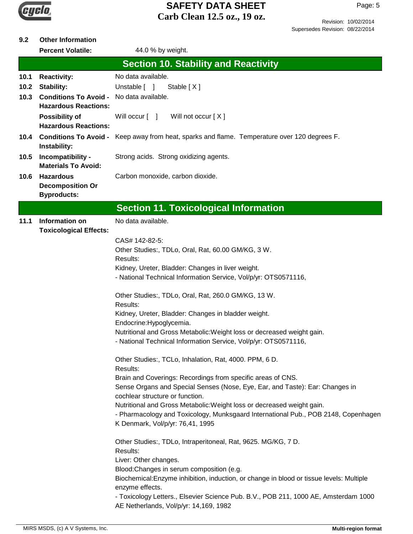

#### **9.2 Other Information**

|      | <b>Percent Volatile:</b>                                          | 44.0 % by weight.                                                                                                             |
|------|-------------------------------------------------------------------|-------------------------------------------------------------------------------------------------------------------------------|
|      |                                                                   | <b>Section 10. Stability and Reactivity</b>                                                                                   |
| 10.1 | <b>Reactivity:</b>                                                | No data available.                                                                                                            |
| 10.2 | <b>Stability:</b>                                                 | Unstable [ ]<br>Stable $[X]$                                                                                                  |
| 10.3 | <b>Conditions To Avoid -</b>                                      | No data available.                                                                                                            |
|      | <b>Hazardous Reactions:</b>                                       |                                                                                                                               |
|      | <b>Possibility of</b><br><b>Hazardous Reactions:</b>              | Will occur [ ]<br>Will not occur [X]                                                                                          |
| 10.4 | Instability:                                                      | <b>Conditions To Avoid -</b> Keep away from heat, sparks and flame. Temperature over 120 degrees F.                           |
| 10.5 | Incompatibility -<br><b>Materials To Avoid:</b>                   | Strong acids. Strong oxidizing agents.                                                                                        |
| 10.6 | <b>Hazardous</b><br><b>Decomposition Or</b><br><b>Byproducts:</b> | Carbon monoxide, carbon dioxide.                                                                                              |
|      |                                                                   |                                                                                                                               |
|      |                                                                   | <b>Section 11. Toxicological Information</b>                                                                                  |
| 11.1 | <b>Information on</b><br><b>Toxicological Effects:</b>            | No data available.                                                                                                            |
|      |                                                                   | CAS# 142-82-5:                                                                                                                |
|      |                                                                   | Other Studies:, TDLo, Oral, Rat, 60.00 GM/KG, 3 W.                                                                            |
|      |                                                                   | Results:<br>Kidney, Ureter, Bladder: Changes in liver weight.                                                                 |
|      |                                                                   | - National Technical Information Service, Vol/p/yr: OTS0571116,                                                               |
|      |                                                                   | Other Studies:, TDLo, Oral, Rat, 260.0 GM/KG, 13 W.                                                                           |
|      |                                                                   | Results:<br>Kidney, Ureter, Bladder: Changes in bladder weight.                                                               |
|      |                                                                   | Endocrine: Hypoglycemia.                                                                                                      |
|      |                                                                   | Nutritional and Gross Metabolic: Weight loss or decreased weight gain.                                                        |
|      |                                                                   | - National Technical Information Service, Vol/p/yr: OTS0571116,                                                               |
|      |                                                                   | Other Studies:, TCLo, Inhalation, Rat, 4000. PPM, 6 D.<br>Results:                                                            |
|      |                                                                   | Brain and Coverings: Recordings from specific areas of CNS.                                                                   |
|      |                                                                   | Sense Organs and Special Senses (Nose, Eye, Ear, and Taste): Ear: Changes in<br>cochlear structure or function.               |
|      |                                                                   | Nutritional and Gross Metabolic: Weight loss or decreased weight gain.                                                        |
|      |                                                                   | - Pharmacology and Toxicology, Munksgaard International Pub., POB 2148, Copenhagen                                            |
|      |                                                                   | K Denmark, Vol/p/yr: 76,41, 1995                                                                                              |
|      |                                                                   | Other Studies:, TDLo, Intraperitoneal, Rat, 9625. MG/KG, 7 D.<br>Results:                                                     |
|      |                                                                   | Liver: Other changes.                                                                                                         |
|      |                                                                   | Blood:Changes in serum composition (e.g.                                                                                      |
|      |                                                                   | Biochemical: Enzyme inhibition, induction, or change in blood or tissue levels: Multiple<br>enzyme effects.                   |
|      |                                                                   | - Toxicology Letters., Elsevier Science Pub. B.V., POB 211, 1000 AE, Amsterdam 1000<br>AE Netherlands, Vol/p/yr: 14,169, 1982 |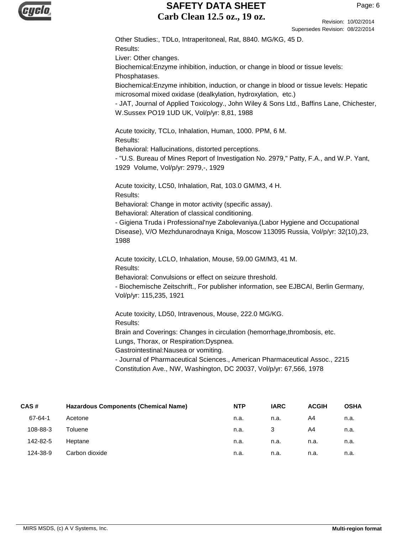

Revision: 10/02/2014 Supersedes Revision: 08/22/2014

Other Studies:, TDLo, Intraperitoneal, Rat, 8840. MG/KG, 45 D. Results: Liver: Other changes. Biochemical:Enzyme inhibition, induction, or change in blood or tissue levels: Phosphatases. Biochemical:Enzyme inhibition, induction, or change in blood or tissue levels: Hepatic microsomal mixed oxidase (dealkylation, hydroxylation, etc.) - JAT, Journal of Applied Toxicology., John Wiley & Sons Ltd., Baffins Lane, Chichester, W.Sussex PO19 1UD UK, Vol/p/yr: 8,81, 1988 Acute toxicity, TCLo, Inhalation, Human, 1000. PPM, 6 M. Results: Behavioral: Hallucinations, distorted perceptions. - "U.S. Bureau of Mines Report of Investigation No. 2979," Patty, F.A., and W.P. Yant, 1929 Volume, Vol/p/yr: 2979,-, 1929 Acute toxicity, LC50, Inhalation, Rat, 103.0 GM/M3, 4 H. Results: Behavioral: Change in motor activity (specific assay). Behavioral: Alteration of classical conditioning. - Gigiena Truda i Professional'nye Zabolevaniya.(Labor Hygiene and Occupational Disease), V/O Mezhdunarodnaya Kniga, Moscow 113095 Russia, Vol/p/yr: 32(10),23, 1988 Acute toxicity, LCLO, Inhalation, Mouse, 59.00 GM/M3, 41 M. Results: Behavioral: Convulsions or effect on seizure threshold. - Biochemische Zeitschrift., For publisher information, see EJBCAI, Berlin Germany, Vol/p/yr: 115,235, 1921 Acute toxicity, LD50, Intravenous, Mouse, 222.0 MG/KG. Results: Brain and Coverings: Changes in circulation (hemorrhage,thrombosis, etc. Lungs, Thorax, or Respiration:Dyspnea. Gastrointestinal:Nausea or vomiting. - Journal of Pharmaceutical Sciences., American Pharmaceutical Assoc., 2215

| CAS#     | <b>Hazardous Components (Chemical Name)</b> | <b>NTP</b> | <b>IARC</b> | <b>ACGIH</b> | <b>OSHA</b> |
|----------|---------------------------------------------|------------|-------------|--------------|-------------|
| 67-64-1  | Acetone                                     | n.a.       | n.a.        | A4           | n.a.        |
| 108-88-3 | Toluene                                     | n.a.       | 3           | A4           | n.a.        |
| 142-82-5 | Heptane                                     | n.a.       | n.a.        | n.a.         | n.a.        |
| 124-38-9 | Carbon dioxide                              | n.a.       | n.a.        | n.a.         | n.a.        |
|          |                                             |            |             |              |             |

Constitution Ave., NW, Washington, DC 20037, Vol/p/yr: 67,566, 1978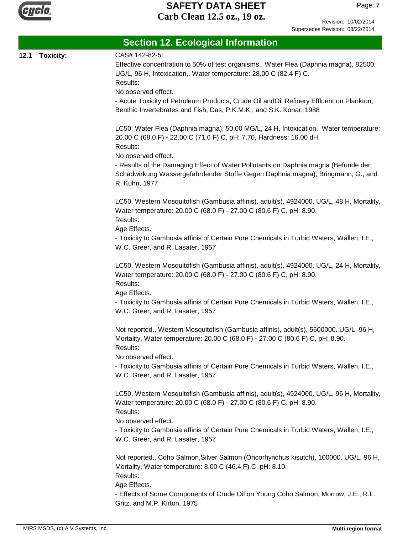

Page: 7

|      | <b>Section 12. Ecological Information</b> |                                                                                                                                                                                                                 |  |  |  |  |
|------|-------------------------------------------|-----------------------------------------------------------------------------------------------------------------------------------------------------------------------------------------------------------------|--|--|--|--|
| 12.1 | <b>Toxicity:</b>                          | CAS# 142-82-5:<br>Effective concentration to 50% of test organisms., Water Flea (Daphnia magna), 82500.<br>UG/L, 96 H, Intoxication,, Water temperature: 28.00 C (82.4 F) C.<br>Results:<br>No observed effect. |  |  |  |  |
|      |                                           | - Acute Toxicity of Petroleum Products, Crude Oil andOil Refinery Effluent on Plankton,<br>Benthic Invertebrates and Fish, Das, P.K.M.K., and S.K. Konar, 1988                                                  |  |  |  |  |
|      |                                           | LC50, Water Flea (Daphnia magna), 50.00 MG/L, 24 H, Intoxication,, Water temperature:<br>20.00 C (68.0 F) - 22.00 C (71.6 F) C, pH: 7.70, Hardness: 16.00 dH.<br>Results:<br>No observed effect.                |  |  |  |  |
|      |                                           | - Results of the Damaging Effect of Water Pollutants on Daphnia magna (Befunde der<br>Schadwirkung Wassergefahrdender Stoffe Gegen Daphnia magna), Bringmann, G., and<br>R. Kuhn, 1977                          |  |  |  |  |
|      |                                           | LC50, Western Mosquitofish (Gambusia affinis), adult(s), 4924000. UG/L, 48 H, Mortality,<br>Water temperature: 20.00 C (68.0 F) - 27.00 C (80.6 F) C, pH: 8.90.<br>Results:<br>Age Effects.                     |  |  |  |  |
|      |                                           | - Toxicity to Gambusia affinis of Certain Pure Chemicals in Turbid Waters, Wallen, I.E.,<br>W.C. Greer, and R. Lasater, 1957                                                                                    |  |  |  |  |
|      |                                           | LC50, Western Mosquitofish (Gambusia affinis), adult(s), 4924000. UG/L, 24 H, Mortality,<br>Water temperature: 20.00 C (68.0 F) - 27.00 C (80.6 F) C, pH: 8.90.<br>Results:<br>Age Effects.                     |  |  |  |  |
|      |                                           | - Toxicity to Gambusia affinis of Certain Pure Chemicals in Turbid Waters, Wallen, I.E.,<br>W.C. Greer, and R. Lasater, 1957                                                                                    |  |  |  |  |
|      |                                           | Not reported., Western Mosquitofish (Gambusia affinis), adult(s), 5600000. UG/L, 96 H,<br>Mortality, Water temperature: 20.00 C (68.0 F) - 27.00 C (80.6 F) C, pH: 8.90.<br>Results:                            |  |  |  |  |
|      |                                           | No observed effect.<br>- Toxicity to Gambusia affinis of Certain Pure Chemicals in Turbid Waters, Wallen, I.E.,<br>W.C. Greer, and R. Lasater, 1957                                                             |  |  |  |  |
|      |                                           | LC50, Western Mosquitofish (Gambusia affinis), adult(s), 4924000. UG/L, 96 H, Mortality,<br>Water temperature: 20.00 C (68.0 F) - 27.00 C (80.6 F) C, pH: 8.90.<br>Results:<br>No observed effect.              |  |  |  |  |
|      |                                           | - Toxicity to Gambusia affinis of Certain Pure Chemicals in Turbid Waters, Wallen, I.E.,<br>W.C. Greer, and R. Lasater, 1957                                                                                    |  |  |  |  |
|      |                                           | Not reported., Coho Salmon, Silver Salmon (Oncorhynchus kisutch), 100000. UG/L, 96 H,<br>Mortality, Water temperature: 8.00 C (46.4 F) C, pH: 8.10.<br>Results:                                                 |  |  |  |  |
|      |                                           | Age Effects.<br>- Effects of Some Components of Crude Oil on Young Coho Salmon, Morrow, J.E., R.L.<br>Gritz, and M.P. Kirton, 1975                                                                              |  |  |  |  |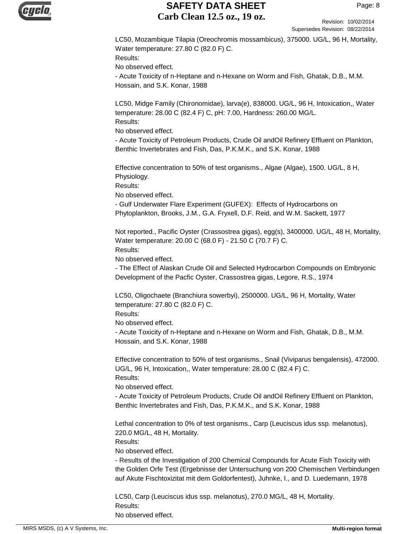

Revision: 10/02/2014 Supersedes Revision: 08/22/2014

LC50, Mozambique Tilapia (Oreochromis mossambicus), 375000. UG/L, 96 H, Mortality, Water temperature: 27.80 C (82.0 F) C. Results: No observed effect.

- Acute Toxicity of n-Heptane and n-Hexane on Worm and Fish, Ghatak, D.B., M.M. Hossain, and S.K. Konar, 1988

LC50, Midge Family (Chironomidae), larva(e), 838000. UG/L, 96 H, Intoxication,, Water temperature: 28.00 C (82.4 F) C, pH: 7.00, Hardness: 260.00 MG/L. Results:

No observed effect.

- Acute Toxicity of Petroleum Products, Crude Oil andOil Refinery Effluent on Plankton, Benthic Invertebrates and Fish, Das, P.K.M.K., and S.K. Konar, 1988

Effective concentration to 50% of test organisms., Algae (Algae), 1500. UG/L, 8 H, Physiology.

Results:

No observed effect.

- Gulf Underwater Flare Experiment (GUFEX): Effects of Hydrocarbons on Phytoplankton, Brooks, J.M., G.A. Fryxell, D.F. Reid, and W.M. Sackett, 1977

Not reported., Pacific Oyster (Crassostrea gigas), egg(s), 3400000. UG/L, 48 H, Mortality, Water temperature: 20.00 C (68.0 F) - 21.50 C (70.7 F) C. Results:

No observed effect.

- The Effect of Alaskan Crude Oil and Selected Hydrocarbon Compounds on Embryonic Development of the Pacfic Oyster, Crassostrea gigas, Legore, R.S., 1974

LC50, Oligochaete (Branchiura sowerbyi), 2500000. UG/L, 96 H, Mortality, Water temperature: 27.80 C (82.0 F) C.

Results:

No observed effect.

- Acute Toxicity of n-Heptane and n-Hexane on Worm and Fish, Ghatak, D.B., M.M. Hossain, and S.K. Konar, 1988

Effective concentration to 50% of test organisms., Snail (Viviparus bengalensis), 472000. UG/L, 96 H, Intoxication,, Water temperature: 28.00 C (82.4 F) C. Results:

No observed effect.

- Acute Toxicity of Petroleum Products, Crude Oil andOil Refinery Effluent on Plankton, Benthic Invertebrates and Fish, Das, P.K.M.K., and S.K. Konar, 1988

Lethal concentration to 0% of test organisms., Carp (Leuciscus idus ssp. melanotus), 220.0 MG/L, 48 H, Mortality.

Results:

No observed effect.

- Results of the Investigation of 200 Chemical Compounds for Acute Fish Toxicity with the Golden Orfe Test (Ergebnisse der Untersuchung von 200 Chemischen Verbindungen auf Akute Fischtoxizitat mit dem Goldorfentest), Juhnke, I., and D. Luedemann, 1978

LC50, Carp (Leuciscus idus ssp. melanotus), 270.0 MG/L, 48 H, Mortality. Results: No observed effect.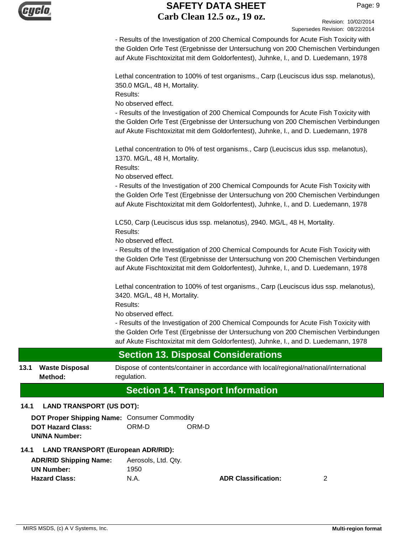

Revision: 10/02/2014 Supersedes Revision: 08/22/2014

- Results of the Investigation of 200 Chemical Compounds for Acute Fish Toxicity with the Golden Orfe Test (Ergebnisse der Untersuchung von 200 Chemischen Verbindungen auf Akute Fischtoxizitat mit dem Goldorfentest), Juhnke, I., and D. Luedemann, 1978

Lethal concentration to 100% of test organisms., Carp (Leuciscus idus ssp. melanotus), 350.0 MG/L, 48 H, Mortality.

Results:

No observed effect.

- Results of the Investigation of 200 Chemical Compounds for Acute Fish Toxicity with the Golden Orfe Test (Ergebnisse der Untersuchung von 200 Chemischen Verbindungen auf Akute Fischtoxizitat mit dem Goldorfentest), Juhnke, I., and D. Luedemann, 1978

Lethal concentration to 0% of test organisms., Carp (Leuciscus idus ssp. melanotus), 1370. MG/L, 48 H, Mortality.

Results:

No observed effect.

- Results of the Investigation of 200 Chemical Compounds for Acute Fish Toxicity with the Golden Orfe Test (Ergebnisse der Untersuchung von 200 Chemischen Verbindungen auf Akute Fischtoxizitat mit dem Goldorfentest), Juhnke, I., and D. Luedemann, 1978

LC50, Carp (Leuciscus idus ssp. melanotus), 2940. MG/L, 48 H, Mortality. Results:

No observed effect.

- Results of the Investigation of 200 Chemical Compounds for Acute Fish Toxicity with the Golden Orfe Test (Ergebnisse der Untersuchung von 200 Chemischen Verbindungen auf Akute Fischtoxizitat mit dem Goldorfentest), Juhnke, I., and D. Luedemann, 1978

Lethal concentration to 100% of test organisms., Carp (Leuciscus idus ssp. melanotus), 3420. MG/L, 48 H, Mortality.

Results:

No observed effect.

- Results of the Investigation of 200 Chemical Compounds for Acute Fish Toxicity with the Golden Orfe Test (Ergebnisse der Untersuchung von 200 Chemischen Verbindungen auf Akute Fischtoxizitat mit dem Goldorfentest), Juhnke, I., and D. Luedemann, 1978

# **Section 13. Disposal Considerations**

**13.1 Waste Disposal** Dispose of contents/container in accordance with local/regional/national/international regulation. **Waste Disposal Method:**

# **Section 14. Transport Information**

# **14.1 LAND TRANSPORT (US DOT):**

**DOT Proper Shipping Name:** Consumer Commodity **DOT Hazard Class:** ORM-D ORM-D **UN/NA Number:**

# **14.1 LAND TRANSPORT (European ADR/RID):**

| <b>ADR/RID Shipping Name:</b> | Aerosols, Ltd. Qty. |
|-------------------------------|---------------------|
| UN Number:                    | 1950                |
| <b>Hazard Class:</b>          | N.A.                |

**ADR Classification:** 2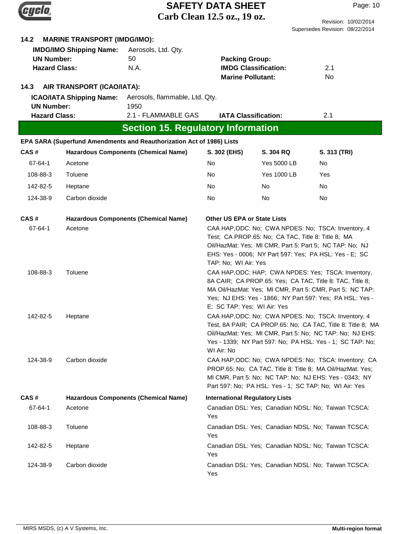|                                           |                                     |                                                                       | <b>SAFETY DATA SHEET</b>              |                                                    | Page: 10                                                                                                                |
|-------------------------------------------|-------------------------------------|-----------------------------------------------------------------------|---------------------------------------|----------------------------------------------------|-------------------------------------------------------------------------------------------------------------------------|
|                                           |                                     |                                                                       | Carb Clean 12.5 oz., 19 oz.           |                                                    | Revision: 10/02/2014                                                                                                    |
|                                           |                                     |                                                                       |                                       |                                                    | Supersedes Revision: 08/22/2014                                                                                         |
| 14.2                                      | <b>MARINE TRANSPORT (IMDG/IMO):</b> |                                                                       |                                       |                                                    |                                                                                                                         |
|                                           | <b>IMDG/IMO Shipping Name:</b>      | Aerosols, Ltd. Qty.                                                   |                                       |                                                    |                                                                                                                         |
| <b>UN Number:</b><br><b>Hazard Class:</b> |                                     | 50<br>N.A.                                                            | <b>Packing Group:</b>                 | <b>IMDG Classification:</b>                        | 2.1                                                                                                                     |
|                                           |                                     |                                                                       | <b>Marine Pollutant:</b>              |                                                    | No                                                                                                                      |
| 14.3                                      | AIR TRANSPORT (ICAO/IATA):          |                                                                       |                                       |                                                    |                                                                                                                         |
|                                           | <b>ICAO/IATA Shipping Name:</b>     | Aerosols, flammable, Ltd. Qty.                                        |                                       |                                                    |                                                                                                                         |
| <b>UN Number:</b>                         |                                     | 1950                                                                  |                                       |                                                    |                                                                                                                         |
| <b>Hazard Class:</b>                      |                                     | 2.1 - FLAMMABLE GAS                                                   | <b>IATA Classification:</b>           |                                                    | 2.1                                                                                                                     |
|                                           |                                     | <b>Section 15. Regulatory Information</b>                             |                                       |                                                    |                                                                                                                         |
|                                           |                                     | EPA SARA (Superfund Amendments and Reauthorization Act of 1986) Lists |                                       |                                                    |                                                                                                                         |
| CAS#                                      |                                     | <b>Hazardous Components (Chemical Name)</b>                           | S. 302 (EHS)                          | S. 304 RQ                                          | S. 313 (TRI)                                                                                                            |
| 67-64-1                                   | Acetone                             |                                                                       | No                                    | <b>Yes 5000 LB</b>                                 | No.                                                                                                                     |
| 108-88-3                                  | Toluene                             |                                                                       | No                                    | <b>Yes 1000 LB</b>                                 | Yes                                                                                                                     |
| 142-82-5                                  | Heptane                             |                                                                       | No                                    | No.                                                | <b>No</b>                                                                                                               |
| 124-38-9                                  | Carbon dioxide                      |                                                                       | No                                    | No.                                                | No.                                                                                                                     |
| CAS#                                      |                                     | <b>Hazardous Components (Chemical Name)</b>                           | Other US EPA or State Lists           |                                                    |                                                                                                                         |
| 67-64-1                                   | Acetone                             |                                                                       |                                       |                                                    | CAA HAP, ODC: No; CWA NPDES: No; TSCA: Inventory, 4                                                                     |
|                                           |                                     |                                                                       |                                       | Test; CA PROP.65: No; CA TAC, Title 8: Title 8; MA | Oil/HazMat: Yes; MI CMR, Part 5: Part 5; NC TAP: No; NJ                                                                 |
|                                           |                                     |                                                                       |                                       |                                                    | EHS: Yes - 0006; NY Part 597: Yes; PA HSL: Yes - E; SC                                                                  |
|                                           |                                     |                                                                       | TAP: No; WI Air: Yes                  |                                                    |                                                                                                                         |
| 108-88-3                                  | Toluene                             |                                                                       |                                       |                                                    | CAA HAP, ODC: HAP; CWA NPDES: Yes; TSCA: Inventory,                                                                     |
|                                           |                                     |                                                                       |                                       |                                                    | 8A CAIR; CA PROP.65: Yes; CA TAC, Title 8: TAC, Title 8;<br>MA Oil/HazMat: Yes; MI CMR, Part 5: CMR, Part 5; NC TAP:    |
|                                           |                                     |                                                                       |                                       |                                                    | Yes; NJ EHS: Yes - 1866; NY Part 597: Yes; PA HSL: Yes -                                                                |
|                                           |                                     |                                                                       | E; SC TAP: Yes; WI Air: Yes           |                                                    |                                                                                                                         |
| 142-82-5                                  | Heptane                             |                                                                       |                                       |                                                    | CAA HAP, ODC: No; CWA NPDES: No; TSCA: Inventory, 4                                                                     |
|                                           |                                     |                                                                       |                                       |                                                    | Test, 8A PAIR; CA PROP.65: No; CA TAC, Title 8: Title 8; MA<br>Oil/HazMat: Yes; MI CMR, Part 5: No; NC TAP: No; NJ EHS: |
|                                           |                                     |                                                                       |                                       |                                                    | Yes - 1339; NY Part 597: No; PA HSL: Yes - 1; SC TAP: No;                                                               |
|                                           |                                     |                                                                       | WI Air: No                            |                                                    |                                                                                                                         |
| 124-38-9                                  | Carbon dioxide                      |                                                                       |                                       |                                                    | CAA HAP, ODC: No; CWA NPDES: No; TSCA: Inventory; CA                                                                    |
|                                           |                                     |                                                                       |                                       |                                                    | PROP.65: No; CA TAC, Title 8: Title 8; MA Oil/HazMat: Yes;<br>MI CMR, Part 5: No; NC TAP: No; NJ EHS: Yes - 0343; NY    |
|                                           |                                     |                                                                       |                                       |                                                    | Part 597: No; PA HSL: Yes - 1; SC TAP: No; WI Air: Yes                                                                  |
| CAS#                                      |                                     | <b>Hazardous Components (Chemical Name)</b>                           | <b>International Regulatory Lists</b> |                                                    |                                                                                                                         |
| 67-64-1                                   | Acetone                             |                                                                       | Yes                                   |                                                    | Canadian DSL: Yes; Canadian NDSL: No; Taiwan TCSCA:                                                                     |
| 108-88-3                                  | Toluene                             |                                                                       |                                       |                                                    | Canadian DSL: Yes; Canadian NDSL: No; Taiwan TCSCA:                                                                     |
|                                           |                                     |                                                                       | Yes                                   |                                                    |                                                                                                                         |
| 142-82-5                                  | Heptane                             |                                                                       | Yes                                   |                                                    | Canadian DSL: Yes; Canadian NDSL: No; Taiwan TCSCA:                                                                     |
| 124-38-9                                  | Carbon dioxide                      |                                                                       | Yes                                   |                                                    | Canadian DSL: Yes; Canadian NDSL: No; Taiwan TCSCA:                                                                     |